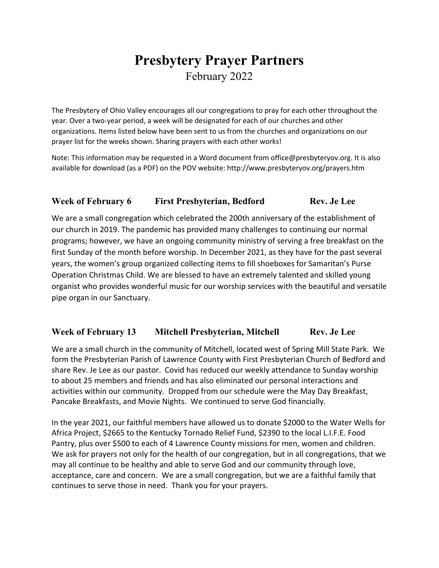# **Presbytery Prayer Partners** February 2022

The Presbytery of Ohio Valley encourages all our congregations to pray for each other throughout the year. Over a two-year period, a week will be designated for each of our churches and other organizations. Items listed below have been sent to us from the churches and organizations on our prayer list for the weeks shown. Sharing prayers with each other works!

Note: This information may be requested in a Word document from office@presbyteryov.org. It is also available for download (as a PDF) on the POV website: http://www.presbyteryov.org/prayers.htm

## **Week of February 6 First Presbyterian, Bedford Rev. Je Lee**

We are a small congregation which celebrated the 200th anniversary of the establishment of our church in 2019. The pandemic has provided many challenges to continuing our normal programs; however, we have an ongoing community ministry of serving a free breakfast on the first Sunday of the month before worship. In December 2021, as they have for the past several years, the women's group organized collecting items to fill shoeboxes for Samaritan's Purse Operation Christmas Child. We are blessed to have an extremely talented and skilled young organist who provides wonderful music for our worship services with the beautiful and versatile pipe organ in our Sanctuary.

#### **Week of February 13 Mitchell Presbyterian, Mitchell Rev. Je Lee**

We are a small church in the community of Mitchell, located west of Spring Mill State Park. We form the Presbyterian Parish of Lawrence County with First Presbyterian Church of Bedford and share Rev. Je Lee as our pastor. Covid has reduced our weekly attendance to Sunday worship to about 25 members and friends and has also eliminated our personal interactions and activities within our community. Dropped from our schedule were the May Day Breakfast, Pancake Breakfasts, and Movie Nights. We continued to serve God financially.

In the year 2021, our faithful members have allowed us to donate \$2000 to the Water Wells for Africa Project, \$2665 to the Kentucky Tornado Relief Fund, \$2390 to the local L.I.F.E. Food Pantry, plus over \$500 to each of 4 Lawrence County missions for men, women and children. We ask for prayers not only for the health of our congregation, but in all congregations, that we may all continue to be healthy and able to serve God and our community through love, acceptance, care and concern. We are a small congregation, but we are a faithful family that continues to serve those in need. Thank you for your prayers.